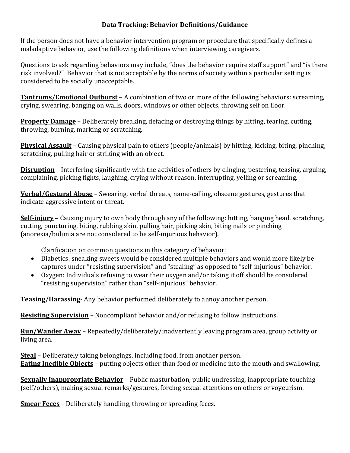## **Data Tracking: Behavior Definitions/Guidance**

If the person does not have a behavior intervention program or procedure that specifically defines a maladaptive behavior, use the following definitions when interviewing caregivers.

Questions to ask regarding behaviors may include, "does the behavior require staff support" and "is there risk involved?" Behavior that is not acceptable by the norms of society within a particular setting is considered to be socially unacceptable.

**Tantrums/Emotional Outburst** – A combination of two or more of the following behaviors: screaming, crying, swearing, banging on walls, doors, windows or other objects, throwing self on floor.

**Property Damage** – Deliberately breaking, defacing or destroying things by hitting, tearing, cutting, throwing, burning, marking or scratching.

**Physical Assault** – Causing physical pain to others (people/animals) by hitting, kicking, biting, pinching, scratching, pulling hair or striking with an object.

**Disruption** – Interfering significantly with the activities of others by clinging, pestering, teasing, arguing, complaining, picking fights, laughing, crying without reason, interrupting, yelling or screaming.

**Verbal/Gestural Abuse** – Swearing, verbal threats, name-calling, obscene gestures, gestures that indicate aggressive intent or threat.

**Self-injury** – Causing injury to own body through any of the following: hitting, banging head, scratching, cutting, puncturing, biting, rubbing skin, pulling hair, picking skin, biting nails or pinching (anorexia/bulimia are not considered to be self-injurious behavior).

Clarification on common questions in this category of behavior:

- Diabetics: sneaking sweets would be considered multiple behaviors and would more likely be captures under "resisting supervision" and "stealing" as opposed to "self-injurious" behavior.
- Oxygen: Individuals refusing to wear their oxygen and/or taking it off should be considered "resisting supervision" rather than "self-injurious" behavior.

**Teasing/Harassing**- Any behavior performed deliberately to annoy another person.

**Resisting Supervision** – Noncompliant behavior and/or refusing to follow instructions.

**Run/Wander Away** – Repeatedly/deliberately/inadvertently leaving program area, group activity or living area.

**Steal** – Deliberately taking belongings, including food, from another person. **Eating Inedible Objects** – putting objects other than food or medicine into the mouth and swallowing.

**Sexually Inappropriate Behavior** – Public masturbation, public undressing, inappropriate touching (self/others), making sexual remarks/gestures, forcing sexual attentions on others or voyeurism.

**Smear Feces** – Deliberately handling, throwing or spreading feces.